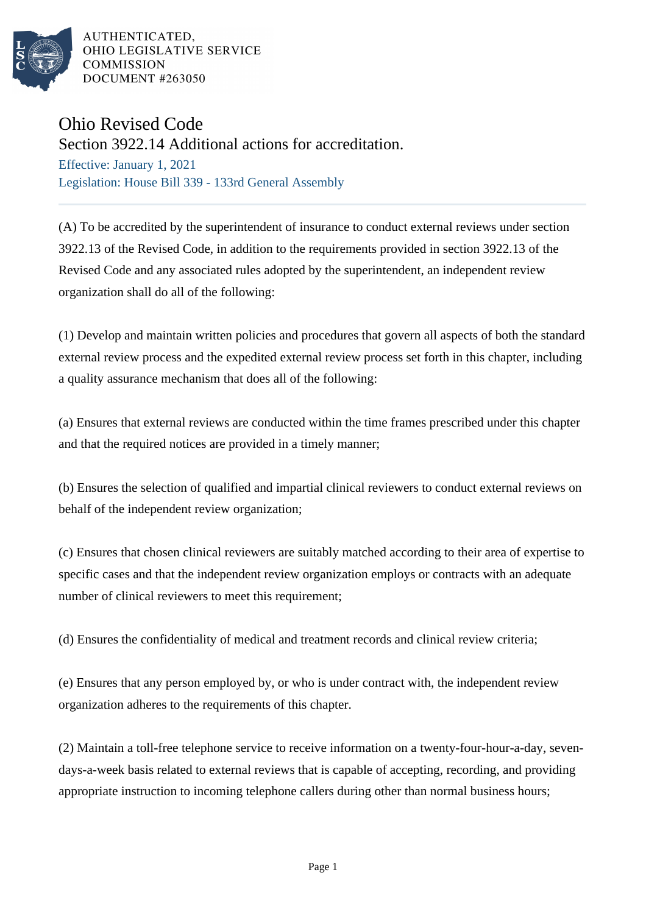

AUTHENTICATED. OHIO LEGISLATIVE SERVICE **COMMISSION** DOCUMENT #263050

## Ohio Revised Code

Section 3922.14 Additional actions for accreditation.

Effective: January 1, 2021 Legislation: House Bill 339 - 133rd General Assembly

(A) To be accredited by the superintendent of insurance to conduct external reviews under section 3922.13 of the Revised Code, in addition to the requirements provided in section 3922.13 of the Revised Code and any associated rules adopted by the superintendent, an independent review organization shall do all of the following:

(1) Develop and maintain written policies and procedures that govern all aspects of both the standard external review process and the expedited external review process set forth in this chapter, including a quality assurance mechanism that does all of the following:

(a) Ensures that external reviews are conducted within the time frames prescribed under this chapter and that the required notices are provided in a timely manner;

(b) Ensures the selection of qualified and impartial clinical reviewers to conduct external reviews on behalf of the independent review organization;

(c) Ensures that chosen clinical reviewers are suitably matched according to their area of expertise to specific cases and that the independent review organization employs or contracts with an adequate number of clinical reviewers to meet this requirement;

(d) Ensures the confidentiality of medical and treatment records and clinical review criteria;

(e) Ensures that any person employed by, or who is under contract with, the independent review organization adheres to the requirements of this chapter.

(2) Maintain a toll-free telephone service to receive information on a twenty-four-hour-a-day, sevendays-a-week basis related to external reviews that is capable of accepting, recording, and providing appropriate instruction to incoming telephone callers during other than normal business hours;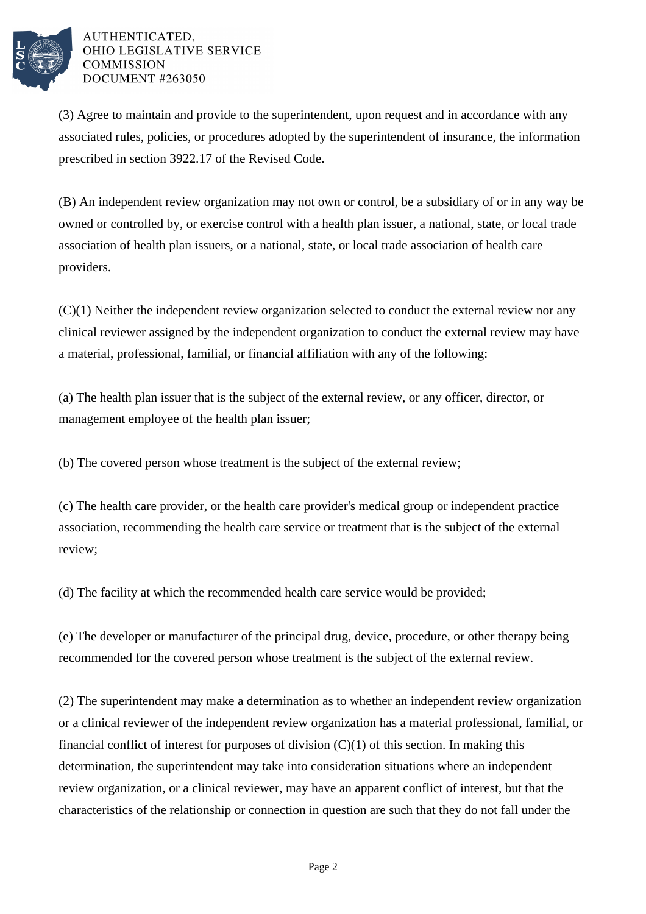

## AUTHENTICATED. OHIO LEGISLATIVE SERVICE **COMMISSION** DOCUMENT #263050

(3) Agree to maintain and provide to the superintendent, upon request and in accordance with any associated rules, policies, or procedures adopted by the superintendent of insurance, the information prescribed in section 3922.17 of the Revised Code.

(B) An independent review organization may not own or control, be a subsidiary of or in any way be owned or controlled by, or exercise control with a health plan issuer, a national, state, or local trade association of health plan issuers, or a national, state, or local trade association of health care providers.

(C)(1) Neither the independent review organization selected to conduct the external review nor any clinical reviewer assigned by the independent organization to conduct the external review may have a material, professional, familial, or financial affiliation with any of the following:

(a) The health plan issuer that is the subject of the external review, or any officer, director, or management employee of the health plan issuer;

(b) The covered person whose treatment is the subject of the external review;

(c) The health care provider, or the health care provider's medical group or independent practice association, recommending the health care service or treatment that is the subject of the external review;

(d) The facility at which the recommended health care service would be provided;

(e) The developer or manufacturer of the principal drug, device, procedure, or other therapy being recommended for the covered person whose treatment is the subject of the external review.

(2) The superintendent may make a determination as to whether an independent review organization or a clinical reviewer of the independent review organization has a material professional, familial, or financial conflict of interest for purposes of division  $(C)(1)$  of this section. In making this determination, the superintendent may take into consideration situations where an independent review organization, or a clinical reviewer, may have an apparent conflict of interest, but that the characteristics of the relationship or connection in question are such that they do not fall under the